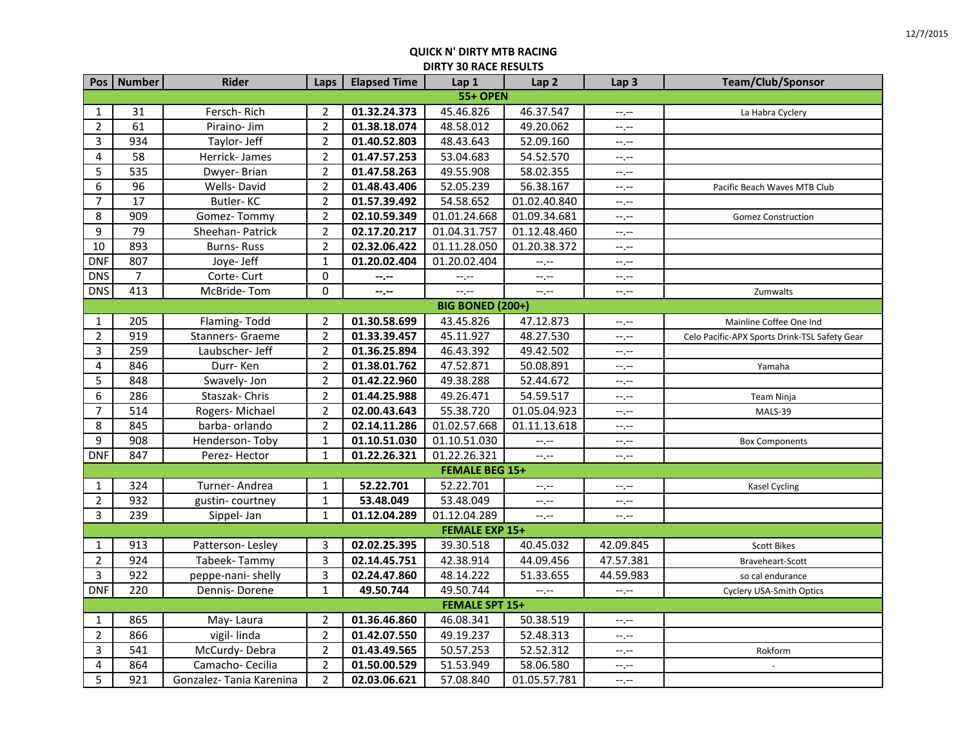|                | Pos   Number     | Rider                    | Laps           | <b>Elapsed Time</b> | Lap 1                   | Lap <sub>2</sub> | Lap <sub>3</sub> | <b>Team/Club/Sponsor</b>                      |  |  |
|----------------|------------------|--------------------------|----------------|---------------------|-------------------------|------------------|------------------|-----------------------------------------------|--|--|
|                | <b>55+ OPEN</b>  |                          |                |                     |                         |                  |                  |                                               |  |  |
| 1              | 31               | Fersch-Rich              | $\overline{2}$ | 01.32.24.373        | 45.46.826               | 46.37.547        | $-1, -1$         | La Habra Cyclery                              |  |  |
| $\overline{2}$ | 61               | Piraino- Jim             | $\overline{2}$ | 01.38.18.074        | 48.58.012               | 49.20.062        | $-1$             |                                               |  |  |
| 3              | 934              | Taylor- Jeff             | $\overline{c}$ | 01.40.52.803        | 48.43.643               | 52.09.160        | $-1$             |                                               |  |  |
| 4              | 58               | Herrick-James            | $\overline{2}$ | 01.47.57.253        | 53.04.683               | 54.52.570        | --,--            |                                               |  |  |
| 5              | 535              | Dwyer-Brian              | $\overline{2}$ | 01.47.58.263        | 49.55.908               | 58.02.355        | --.--            |                                               |  |  |
| 6              | 96               | Wells-David              | $\overline{2}$ | 01.48.43.406        | 52.05.239               | 56.38.167        | $-1$ , $-1$      | Pacific Beach Waves MTB Club                  |  |  |
| 7              | 17               | <b>Butler-KC</b>         | $\overline{2}$ | 01.57.39.492        | 54.58.652               | 01.02.40.840     | $-1$ , $-1$      |                                               |  |  |
| 8              | 909              | Gomez-Tommy              | $\overline{c}$ | 02.10.59.349        | 01.01.24.668            | 01.09.34.681     | --,--            | <b>Gomez Construction</b>                     |  |  |
| 9              | 79               | Sheehan- Patrick         | $\overline{2}$ | 02.17.20.217        | 01.04.31.757            | 01.12.48.460     | $-1$             |                                               |  |  |
| 10             | 893              | <b>Burns-Russ</b>        | $\overline{2}$ | 02.32.06.422        | 01.11.28.050            | 01.20.38.372     | --,--            |                                               |  |  |
| <b>DNF</b>     | 807              | Joye- Jeff               | $\mathbf 1$    | 01.20.02.404        | 01.20.02.404            | $-1$             | --,--            |                                               |  |  |
| <b>DNS</b>     | $\overline{7}$   | Corte-Curt               | 0              | --.--               | $-1$ , $-1$             | --,--            | $-1$ , $-1$      |                                               |  |  |
| <b>DNS</b>     | 413              | McBride-Tom              | $\mathbf 0$    | --,--               | $-1$                    | $-1$ .           | $-1 - 1 - 1 = 0$ | Zumwalts                                      |  |  |
|                |                  |                          |                |                     | <b>BIG BONED (200+)</b> |                  |                  |                                               |  |  |
| $\mathbf{1}$   | 205              | Flaming-Todd             | $\overline{2}$ | 01.30.58.699        | 43.45.826               | 47.12.873        | --.--            | Mainline Coffee One Ind                       |  |  |
| $\overline{2}$ | 919              | Stanners- Graeme         | $\mathbf 2$    | 01.33.39.457        | 45.11.927               | 48.27.530        | --.--            | Celo Pacific-APX Sports Drink-TSL Safety Gear |  |  |
| 3              | 259              | Laubscher- Jeff          | $\overline{2}$ | 01.36.25.894        | 46.43.392               | 49.42.502        | $-1$ .           |                                               |  |  |
| 4              | 846              | Durr-Ken                 | $\overline{2}$ | 01.38.01.762        | 47.52.871               | 50.08.891        | --,--            | Yamaha                                        |  |  |
| 5              | 848              | Swavely-Jon              | $\overline{2}$ | 01.42.22.960        | 49.38.288               | 52.44.672        | $-1$ , $-1$      |                                               |  |  |
| 6              | 286              | Staszak-Chris            | $\overline{2}$ | 01.44.25.988        | 49.26.471               | 54.59.517        | $-1$ , $-1$      | Team Ninja                                    |  |  |
| $\overline{7}$ | 514              | Rogers-Michael           | $\overline{2}$ | 02.00.43.643        | 55.38.720               | 01.05.04.923     | $-1$ , $-1$      | MALS-39                                       |  |  |
| 8              | 845              | barba- orlando           | $\overline{2}$ | 02.14.11.286        | 01.02.57.668            | 01.11.13.618     | $-1, -1$         |                                               |  |  |
| 9              | $\overline{908}$ | Henderson-Toby           | $\mathbf{1}$   | 01.10.51.030        | 01.10.51.030            | --.--            | $-1$ . $-1$      | <b>Box Components</b>                         |  |  |
| <b>DNF</b>     | 847              | Perez-Hector             | $\mathbf{1}$   | 01.22.26.321        | 01.22.26.321            | $-1$ .           | $-1 - 1 - 1 = 0$ |                                               |  |  |
|                |                  |                          |                |                     | <b>FEMALE BEG 15+</b>   |                  |                  |                                               |  |  |
| $\mathbf{1}$   | 324              | Turner-Andrea            | 1              | 52.22.701           | 52.22.701               | $-1, -1$         | $-1, -1$         | <b>Kasel Cycling</b>                          |  |  |
| $\overline{2}$ | 932              | gustin-courtney          | $\mathbf{1}$   | 53.48.049           | 53.48.049               | $-1, -1$         | --,--            |                                               |  |  |
| 3              | 239              | Sippel- Jan              | $\mathbf{1}$   | 01.12.04.289        | 01.12.04.289            | $-1$ .           | $-1$ , $-1$      |                                               |  |  |
|                |                  |                          |                |                     | <b>FEMALE EXP 15+</b>   |                  |                  |                                               |  |  |
| $\mathbf{1}$   | 913              | Patterson-Lesley         | 3              | 02.02.25.395        | 39.30.518               | 40.45.032        | 42.09.845        | <b>Scott Bikes</b>                            |  |  |
| $\overline{2}$ | 924              | Tabeek-Tammy             | 3              | 02.14.45.751        | 42.38.914               | 44.09.456        | 47.57.381        | Braveheart-Scott                              |  |  |
| $\overline{3}$ | 922              | peppe-nani-shelly        | 3              | 02.24.47.860        | 48.14.222               | 51.33.655        | 44.59.983        | so cal endurance                              |  |  |
| <b>DNF</b>     | 220              | Dennis-Dorene            | $\mathbf{1}$   | 49.50.744           | 49.50.744               | $-1, -1$         | $-1, -1$         | <b>Cyclery USA-Smith Optics</b>               |  |  |
|                |                  |                          |                |                     | <b>FEMALE SPT 15+</b>   |                  |                  |                                               |  |  |
| $\mathbf{1}$   | 865              | May-Laura                | $\overline{2}$ | 01.36.46.860        | 46.08.341               | 50.38.519        | --,--            |                                               |  |  |
| $\overline{2}$ | 866              | vigil-linda              | $\overline{2}$ | 01.42.07.550        | 49.19.237               | 52.48.313        | $-1$ , $-1$      |                                               |  |  |
| 3              | 541              | McCurdy-Debra            | $\overline{2}$ | 01.43.49.565        | 50.57.253               | 52.52.312        | $-1$             | Rokform                                       |  |  |
| 4              | 864              | Camacho- Cecilia         | $\overline{2}$ | 01.50.00.529        | 51.53.949               | 58.06.580        | --.--            |                                               |  |  |
| 5              | 921              | Gonzalez- Tania Karenina | $\overline{2}$ | 02.03.06.621        | 57.08.840               | 01.05.57.781     | --.--            |                                               |  |  |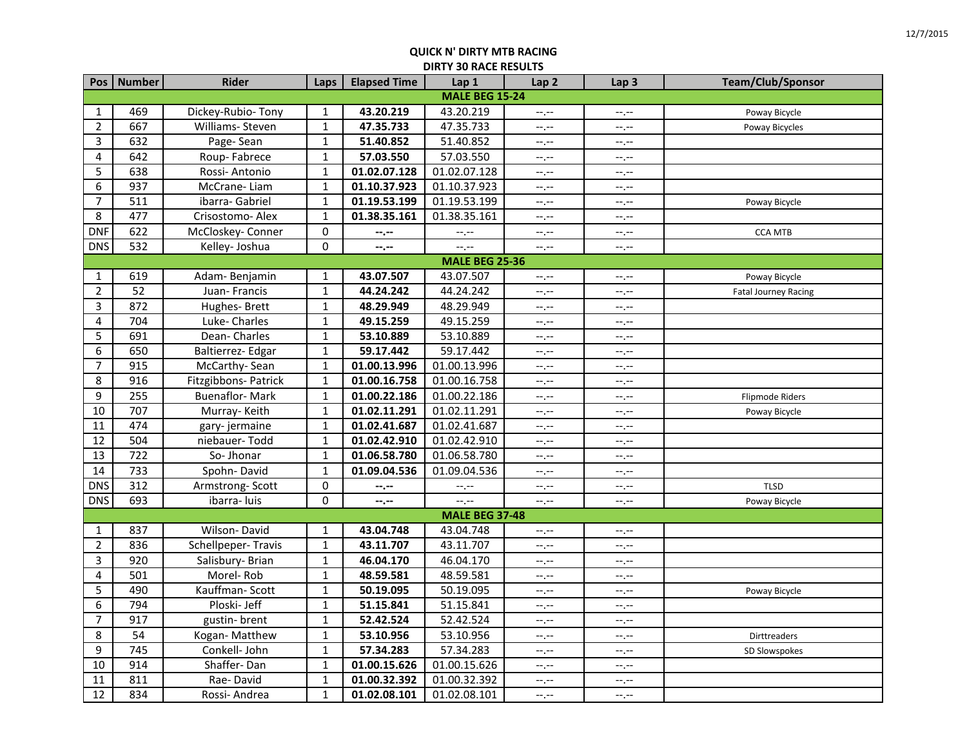|                | Pos   Number          | <b>Rider</b>          | Laps         | <b>Elapsed Time</b> | Lap 1                 | Lap <sub>2</sub> | Lap <sub>3</sub> | Team/Club/Sponsor    |  |  |
|----------------|-----------------------|-----------------------|--------------|---------------------|-----------------------|------------------|------------------|----------------------|--|--|
|                | <b>MALE BEG 15-24</b> |                       |              |                     |                       |                  |                  |                      |  |  |
| $\mathbf{1}$   | 469                   | Dickey-Rubio-Tony     | 1            | 43.20.219           | 43.20.219             | $-1$             | $-$ , $-$        | Poway Bicycle        |  |  |
| $\overline{2}$ | 667                   | Williams-Steven       | $1\,$        | 47.35.733           | 47.35.733             | $-1$             | $-1$             | Poway Bicycles       |  |  |
| 3              | 632                   | Page-Sean             | $\mathbf 1$  | 51.40.852           | 51.40.852             | $-1, -1$         | $-1, -1$         |                      |  |  |
| 4              | 642                   | Roup-Fabrece          | $\mathbf{1}$ | 57.03.550           | 57.03.550             | $-1, -1$         | $--, --$         |                      |  |  |
| 5              | 638                   | Rossi-Antonio         | $\mathbf 1$  | 01.02.07.128        | 01.02.07.128          | $-1, -1$         | $-1, -1$         |                      |  |  |
| 6              | 937                   | McCrane-Liam          | $\mathbf{1}$ | 01.10.37.923        | 01.10.37.923          | $-1$ , $-1$      | $-1, -1$         |                      |  |  |
| $\overline{7}$ | 511                   | ibarra- Gabriel       | $\mathbf{1}$ | 01.19.53.199        | 01.19.53.199          | $-1, -1$         | $-1, -1$         | Poway Bicycle        |  |  |
| 8              | 477                   | Crisostomo- Alex      | $1\,$        | 01.38.35.161        | 01.38.35.161          | $--, --$         | $-1$             |                      |  |  |
| <b>DNF</b>     | 622                   | McCloskey- Conner     | $\pmb{0}$    | $- - - - -$         | $-1, -1$              | $-1, -1$         | $-1$             | <b>CCA MTB</b>       |  |  |
| <b>DNS</b>     | 532                   | Kelley- Joshua        | $\pmb{0}$    | $-2 - 1 - 1 = 0$    | $-1$                  | $-1$ .           | $-1, -1$         |                      |  |  |
|                |                       |                       |              |                     | <b>MALE BEG 25-36</b> |                  |                  |                      |  |  |
| $\mathbf{1}$   | 619                   | Adam-Benjamin         | $1\,$        | 43.07.507           | 43.07.507             | $--, --$         | $-1 - 1 - 1 = 0$ | Poway Bicycle        |  |  |
| $\overline{2}$ | 52                    | Juan-Francis          | $\mathbf{1}$ | 44.24.242           | 44.24.242             | $-1, -1$         | $--, --$         | Fatal Journey Racing |  |  |
| $\mathbf{3}$   | 872                   | Hughes-Brett          | $\mathbf 1$  | 48.29.949           | 48.29.949             | $-1, -1$         | $-1, -1$         |                      |  |  |
| 4              | 704                   | Luke-Charles          | $\mathbf 1$  | 49.15.259           | 49.15.259             | $-1$ , $-1$      | $-1, -1$         |                      |  |  |
| 5              | 691                   | Dean-Charles          | $1\,$        | 53.10.889           | 53.10.889             | $-1$             | $-1$             |                      |  |  |
| 6              | 650                   | Baltierrez- Edgar     | $\mathbf 1$  | 59.17.442           | 59.17.442             | $-1, -1$         | --.--            |                      |  |  |
| $\overline{7}$ | 915                   | McCarthy-Sean         | $\mathbf 1$  | 01.00.13.996        | 01.00.13.996          | $-1, -1$         | $-1, -1$         |                      |  |  |
| 8              | 916                   | Fitzgibbons- Patrick  | $\mathbf 1$  | 01.00.16.758        | 01.00.16.758          | $-1$ . $-1$      | $-1, -1$         |                      |  |  |
| 9              | 255                   | <b>Buenaflor-Mark</b> | $1\,$        | 01.00.22.186        | 01.00.22.186          | $-1, -1$         | $-1, -1$         | Flipmode Riders      |  |  |
| 10             | 707                   | Murray-Keith          | $\mathbf 1$  | 01.02.11.291        | 01.02.11.291          | $-1, -1$         | --.--            | Poway Bicycle        |  |  |
| 11             | 474                   | gary-jermaine         | $\mathbf 1$  | 01.02.41.687        | 01.02.41.687          | $--, --$         | $--, --$         |                      |  |  |
| 12             | 504                   | niebauer-Todd         | $\mathbf{1}$ | 01.02.42.910        | 01.02.42.910          | $-1$ , $-1$      | $-1, -1$         |                      |  |  |
| 13             | 722                   | So-Jhonar             | $\mathbf{1}$ | 01.06.58.780        | 01.06.58.780          | $-1$             | $--, --$         |                      |  |  |
| 14             | 733                   | Spohn-David           | $\mathbf{1}$ | 01.09.04.536        | 01.09.04.536          | $-1$             | $-1, -1$         |                      |  |  |
| <b>DNS</b>     | 312                   | Armstrong-Scott       | $\pmb{0}$    | $-2 - 1$            | $-1, -1$              | $-1, -1$         | $-1, -1$         | <b>TLSD</b>          |  |  |
| <b>DNS</b>     | 693                   | ibarra- luis          | $\mathbf 0$  | $-2 - 1$            | --.--                 | $--, --$         | $--, --$         | Poway Bicycle        |  |  |
|                |                       |                       |              |                     | <b>MALE BEG 37-48</b> |                  |                  |                      |  |  |
| $\mathbf{1}$   | 837                   | Wilson-David          | $\mathbf{1}$ | 43.04.748           | 43.04.748             | $--, --$         | $-1, -1$         |                      |  |  |
| $\overline{2}$ | 836                   | Schellpeper-Travis    | $\mathbf 1$  | 43.11.707           | 43.11.707             | $-1$             | $-1$             |                      |  |  |
| $\overline{3}$ | $\overline{920}$      | Salisbury- Brian      | $\mathbf 1$  | 46.04.170           | 46.04.170             | $--, --$         | $-1, -1$         |                      |  |  |
| 4              | 501                   | Morel-Rob             | $\mathbf 1$  | 48.59.581           | 48.59.581             | $-1, -1$         | $-1$             |                      |  |  |
| 5              | 490                   | Kauffman-Scott        | $\mathbf 1$  | 50.19.095           | 50.19.095             | $-1$ .           | $-1, -1$         | Poway Bicycle        |  |  |
| 6              | 794                   | Ploski- Jeff          | $1\,$        | 51.15.841           | 51.15.841             | $-1$ , $-1$      | $-1, -1$         |                      |  |  |
| $\overline{7}$ | 917                   | gustin-brent          | $\mathbf 1$  | 52.42.524           | 52.42.524             | $-1, -1$         | $-1, -1$         |                      |  |  |
| 8              | 54                    | Kogan-Matthew         | $\mathbf 1$  | 53.10.956           | 53.10.956             | $-1, -1$         | --.--            | <b>Dirttreaders</b>  |  |  |
| 9              | $\overline{745}$      | Conkell- John         | $\mathbf 1$  | 57.34.283           | 57.34.283             | $-1$ , $-1$      | $-1, -1$         | SD Slowspokes        |  |  |
| 10             | 914                   | Shaffer-Dan           | $\mathbf 1$  | 01.00.15.626        | 01.00.15.626          | $-1, -1$         | $-1, -1$         |                      |  |  |
| 11             | 811                   | Rae-David             | $1\,$        | 01.00.32.392        | 01.00.32.392          | $-1, -1$         | $-1$             |                      |  |  |
| 12             | 834                   | Rossi-Andrea          | $1\,$        | 01.02.08.101        | 01.02.08.101          | $-1$ .           | $--, --$         |                      |  |  |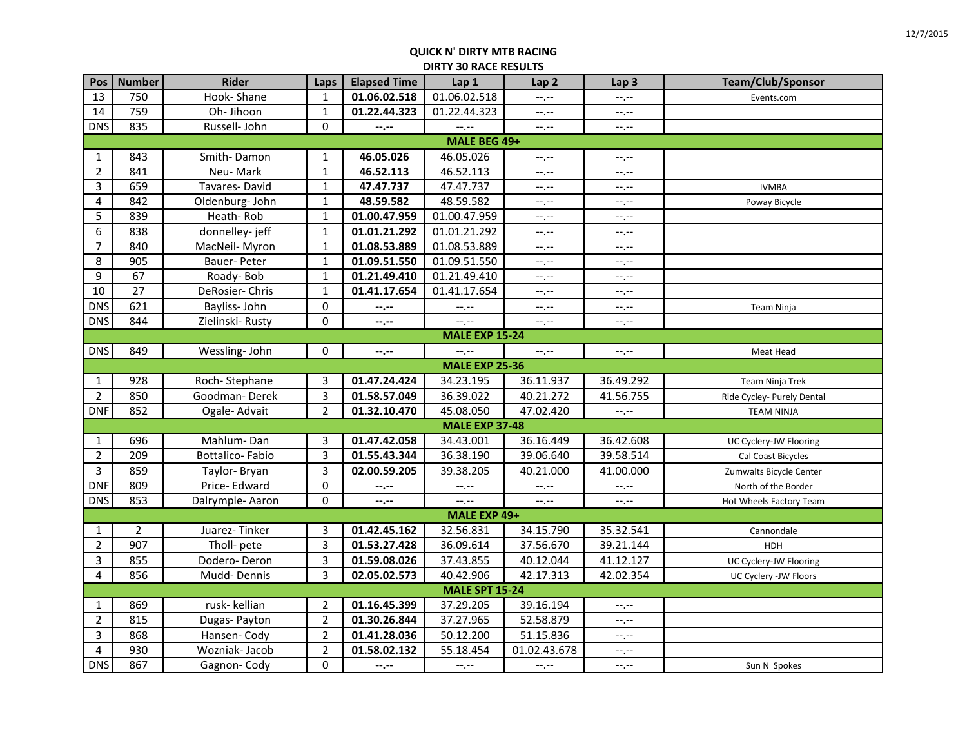| Pos              | <b>Number</b>         | <b>Rider</b>    | Laps           | <b>Elapsed Time</b>         | Lap 1                 | Lap <sub>2</sub> | Lap <sub>3</sub>            | Team/Club/Sponsor          |  |  |
|------------------|-----------------------|-----------------|----------------|-----------------------------|-----------------------|------------------|-----------------------------|----------------------------|--|--|
| 13               | 750                   | Hook-Shane      | 1              | 01.06.02.518                | 01.06.02.518          | --,--            | $-1$ . $-1$                 | Events.com                 |  |  |
| 14               | 759                   | Oh-Jihoon       | $\mathbf 1$    | 01.22.44.323                | 01.22.44.323          | $-1$             | $--, --$                    |                            |  |  |
| <b>DNS</b>       | 835                   | Russell- John   | 0              | $-1 - 1 - 1 = 0$            | $-1$                  | $-1$ .           | $-1, -1$                    |                            |  |  |
|                  | MALE BEG 49+          |                 |                |                             |                       |                  |                             |                            |  |  |
| 1                | 843                   | Smith-Damon     | $\mathbf{1}$   | 46.05.026                   | 46.05.026             | $-1$             | $\equiv$                    |                            |  |  |
| $\overline{2}$   | 841                   | Neu-Mark        | $\mathbf{1}$   | 46.52.113                   | 46.52.113             | $-1, -1$         | --.--                       |                            |  |  |
| $\overline{3}$   | 659                   | Tavares-David   | $\mathbf 1$    | 47.47.737                   | 47.47.737             | $-1, -1$         | $\leftarrow$ , $\leftarrow$ | <b>IVMBA</b>               |  |  |
| $\overline{4}$   | 842                   | Oldenburg- John | $\mathbf 1$    | 48.59.582                   | 48.59.582             | --,--            | $-1$ . $-1$                 | Poway Bicycle              |  |  |
| 5                | 839                   | Heath-Rob       | $\mathbf 1$    | 01.00.47.959                | 01.00.47.959          | $-1$ , $-1$      | $--, --$                    |                            |  |  |
| 6                | 838                   | donnelley-jeff  | $\mathbf 1$    | 01.01.21.292                | 01.01.21.292          | --.--            | $-1$ . $-1$                 |                            |  |  |
| $\overline{7}$   | 840                   | MacNeil-Myron   | $\mathbf{1}$   | 01.08.53.889                | 01.08.53.889          | --,--            | --,--                       |                            |  |  |
| 8                | 905                   | Bauer-Peter     | $\mathbf 1$    | 01.09.51.550                | 01.09.51.550          | $-1$ . $-1$      | ÷.                          |                            |  |  |
| 9                | 67                    | Roady-Bob       | $\mathbf 1$    | 01.21.49.410                | 01.21.49.410          | $-1$ , $-1$      | $-1, -1$                    |                            |  |  |
| 10               | 27                    | DeRosier- Chris | $\mathbf 1$    | 01.41.17.654                | 01.41.17.654          | --.--            | $-1$ . $-1$                 |                            |  |  |
| $DN\overline{S}$ | 621                   | Bayliss-John    | 0              | --.--                       | $-1$                  | $-1, -1$         | $-1$ , $-1$                 | Team Ninja                 |  |  |
| <b>DNS</b>       | 844                   | Zielinski-Rusty | $\pmb{0}$      | --.--                       | $--, --$              | $-1$ , $-1$      | $-1$ , $-1$                 |                            |  |  |
|                  |                       |                 |                |                             | <b>MALE EXP 15-24</b> |                  |                             |                            |  |  |
| <b>DNS</b>       | 849                   | Wessling- John  | 0              | --.--                       | $-1$ .                | $-1$ , $-1$      | --.--                       | Meat Head                  |  |  |
|                  | <b>MALE EXP 25-36</b> |                 |                |                             |                       |                  |                             |                            |  |  |
| $\mathbf{1}$     | 928                   | Roch-Stephane   | 3              | 01.47.24.424                | 34.23.195             | 36.11.937        | 36.49.292                   | Team Ninja Trek            |  |  |
| $\overline{2}$   | 850                   | Goodman-Derek   | 3              | 01.58.57.049                | 36.39.022             | 40.21.272        | 41.56.755                   | Ride Cycley- Purely Dental |  |  |
| <b>DNF</b>       | 852                   | Ogale-Advait    | $\overline{2}$ | 01.32.10.470                | 45.08.050             | 47.02.420        | $-1$                        | <b>TEAM NINJA</b>          |  |  |
|                  |                       |                 |                |                             | <b>MALE EXP 37-48</b> |                  |                             |                            |  |  |
| 1                | 696                   | Mahlum-Dan      | 3              | 01.47.42.058                | 34.43.001             | 36.16.449        | 36.42.608                   | UC Cyclery-JW Flooring     |  |  |
| $\overline{2}$   | 209                   | Bottalico-Fabio | 3              | 01.55.43.344                | 36.38.190             | 39.06.640        | 39.58.514                   | Cal Coast Bicycles         |  |  |
| 3                | 859                   | Taylor-Bryan    | 3              | 02.00.59.205                | 39.38.205             | 40.21.000        | 41.00.000                   | Zumwalts Bicycle Center    |  |  |
| <b>DNF</b>       | 809                   | Price-Edward    | 0              | --.--                       | $-1, -1$              | --.--            | $-1, -1$                    | North of the Border        |  |  |
| <b>DNS</b>       | 853                   | Dalrymple-Aaron | 0              | $\leftarrow$ , $\leftarrow$ | $--, --$              | $-1, -1$         | $-1, -1$                    | Hot Wheels Factory Team    |  |  |
|                  |                       |                 |                |                             | MALE EXP 49+          |                  |                             |                            |  |  |
| 1                | $\overline{2}$        | Juarez-Tinker   | 3              | 01.42.45.162                | 32.56.831             | 34.15.790        | 35.32.541                   | Cannondale                 |  |  |
| $\overline{2}$   | 907                   | Tholl- pete     | $\overline{3}$ | 01.53.27.428                | 36.09.614             | 37.56.670        | 39.21.144                   | HDH                        |  |  |
| 3                | 855                   | Dodero-Deron    | 3              | 01.59.08.026                | 37.43.855             | 40.12.044        | 41.12.127                   | UC Cyclery-JW Flooring     |  |  |
| 4                | 856                   | Mudd-Dennis     | $\overline{3}$ | 02.05.02.573                | 40.42.906             | 42.17.313        | 42.02.354                   | UC Cyclery -JW Floors      |  |  |
|                  |                       |                 |                |                             | <b>MALE SPT 15-24</b> |                  |                             |                            |  |  |
| 1                | 869                   | rusk- kellian   | 2              | 01.16.45.399                | 37.29.205             | 39.16.194        | $-1$ , $-1$                 |                            |  |  |
| $\overline{2}$   | 815                   | Dugas-Payton    | $\overline{2}$ | 01.30.26.844                | 37.27.965             | 52.58.879        | $-1$ .                      |                            |  |  |
| $\overline{3}$   | 868                   | Hansen-Cody     | $\overline{2}$ | 01.41.28.036                | 50.12.200             | 51.15.836        | $-1, -1$                    |                            |  |  |
| 4                | 930                   | Wozniak-Jacob   | $\overline{2}$ | 01.58.02.132                | 55.18.454             | 01.02.43.678     | $-1$ . $-1$                 |                            |  |  |
| <b>DNS</b>       | 867                   | Gagnon-Cody     | $\mathbf 0$    | $-1$                        | $-1, -1$              | $-1, -1$         | $--, --$                    | Sun N Spokes               |  |  |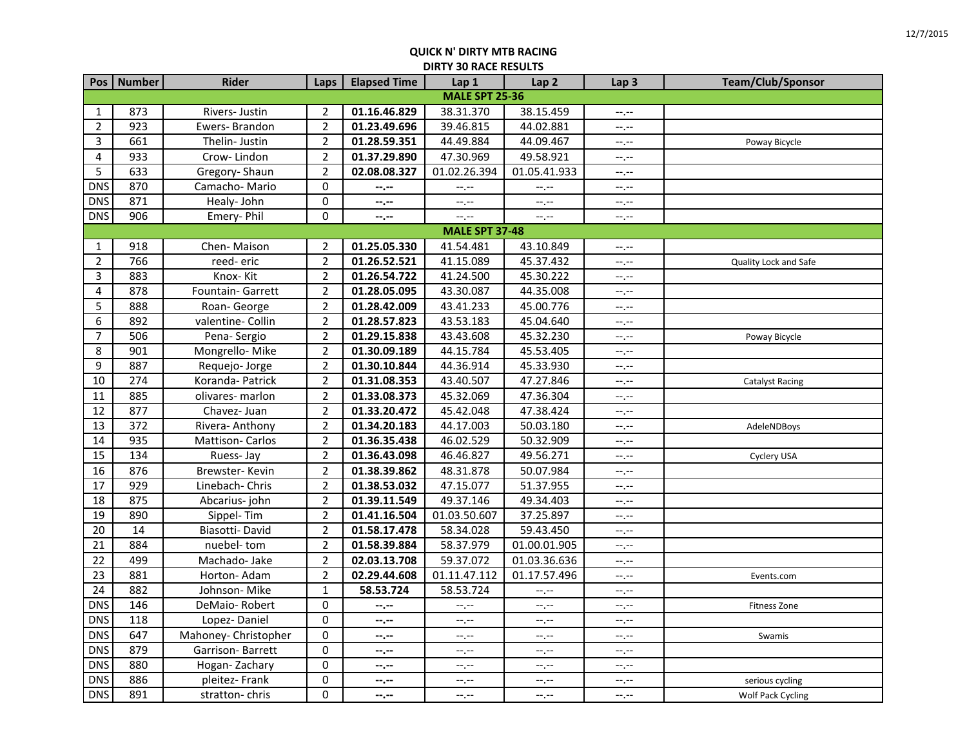|                | Pos   Number          | <b>Rider</b>         | Laps             | <b>Elapsed Time</b> | Lap 1        | Lap <sub>2</sub>            | Lap <sub>3</sub>          | Team/Club/Sponsor        |  |  |
|----------------|-----------------------|----------------------|------------------|---------------------|--------------|-----------------------------|---------------------------|--------------------------|--|--|
|                | <b>MALE SPT 25-36</b> |                      |                  |                     |              |                             |                           |                          |  |  |
| 1              | 873                   | Rivers- Justin       | 2                | 01.16.46.829        | 38.31.370    | 38.15.459                   | $-1, -1$                  |                          |  |  |
| $\overline{2}$ | 923                   | Ewers-Brandon        | $\overline{2}$   | 01.23.49.696        | 39.46.815    | 44.02.881                   | $-1$                      |                          |  |  |
| 3              | 661                   | Thelin-Justin        | $\overline{2}$   | 01.28.59.351        | 44.49.884    | 44.09.467                   | $-,-$                     | Poway Bicycle            |  |  |
| 4              | 933                   | Crow-Lindon          | $\overline{2}$   | 01.37.29.890        | 47.30.969    | 49.58.921                   | $-1, -1$                  |                          |  |  |
| 5              | 633                   | Gregory-Shaun        | $\overline{2}$   | 02.08.08.327        | 01.02.26.394 | 01.05.41.933                | $-1, -1$                  |                          |  |  |
| <b>DNS</b>     | 870                   | Camacho-Mario        | 0                | $-1 - 1 - 1 = 0$    | --.--        | --.--                       | $-1$                      |                          |  |  |
| <b>DNS</b>     | 871                   | Healy-John           | $\pmb{0}$        | $-2 - 1$            | $-1, -1$     | $-1, -1$                    | $-1, -1$                  |                          |  |  |
| <b>DNS</b>     | 906                   | Emery-Phil           | $\mathbf 0$      | $-1, -1$            | $-1$ . $-1$  | $-1, -1$                    | $-1, -1$                  |                          |  |  |
|                | <b>MALE SPT 37-48</b> |                      |                  |                     |              |                             |                           |                          |  |  |
| 1              | 918                   | Chen-Maison          | $\overline{2}$   | 01.25.05.330        | 41.54.481    | 43.10.849                   | --.--                     |                          |  |  |
| $\overline{2}$ | 766                   | reed-eric            | $\overline{2}$   | 01.26.52.521        | 41.15.089    | 45.37.432                   | $-1$                      | Quality Lock and Safe    |  |  |
| 3              | 883                   | Knox-Kit             | $\overline{2}$   | 01.26.54.722        | 41.24.500    | 45.30.222                   | $-1$                      |                          |  |  |
| 4              | 878                   | Fountain- Garrett    | $\overline{2}$   | 01.28.05.095        | 43.30.087    | 44.35.008                   | $-1$                      |                          |  |  |
| 5              | 888                   | Roan-George          | $\overline{2}$   | 01.28.42.009        | 43.41.233    | 45.00.776                   | $-1$ , $-1$               |                          |  |  |
| 6              | 892                   | valentine- Collin    | $\overline{2}$   | 01.28.57.823        | 43.53.183    | 45.04.640                   | $-1$ , $-1$               |                          |  |  |
| $\overline{7}$ | 506                   | Pena-Sergio          | $\overline{2}$   | 01.29.15.838        | 43.43.608    | 45.32.230                   | $-1$                      | Poway Bicycle            |  |  |
| 8              | 901                   | Mongrello-Mike       | $\overline{2}$   | 01.30.09.189        | 44.15.784    | 45.53.405                   | $-1, -1$                  |                          |  |  |
| 9              | 887                   | Requejo-Jorge        | $\overline{2}$   | 01.30.10.844        | 44.36.914    | 45.33.930                   | $-1$ , $-1$               |                          |  |  |
| 10             | 274                   | Koranda- Patrick     | $\overline{2}$   | 01.31.08.353        | 43.40.507    | 47.27.846                   | $-1$                      | <b>Catalyst Racing</b>   |  |  |
| 11             | 885                   | olivares- marlon     | $\overline{2}$   | 01.33.08.373        | 45.32.069    | 47.36.304                   | $-1$                      |                          |  |  |
| 12             | 877                   | Chavez- Juan         | $\overline{2}$   | 01.33.20.472        | 45.42.048    | 47.38.424                   | $-1$                      |                          |  |  |
| 13             | 372                   | Rivera-Anthony       | $\overline{2}$   | 01.34.20.183        | 44.17.003    | 50.03.180                   | $-1, -1$                  | AdeleNDBoys              |  |  |
| 14             | 935                   | Mattison-Carlos      | $\overline{2}$   | 01.36.35.438        | 46.02.529    | 50.32.909                   | $-1$ , $-1$               |                          |  |  |
| 15             | 134                   | Ruess-Jay            | $\overline{2}$   | 01.36.43.098        | 46.46.827    | 49.56.271                   | $-1, -1$                  | Cyclery USA              |  |  |
| 16             | 876                   | Brewster-Kevin       | $\overline{2}$   | 01.38.39.862        | 48.31.878    | 50.07.984                   | $-1, -1$                  |                          |  |  |
| 17             | 929                   | Linebach- Chris      | $\overline{2}$   | 01.38.53.032        | 47.15.077    | 51.37.955                   | $-1, -1$                  |                          |  |  |
| 18             | 875                   | Abcarius-john        | $\overline{2}$   | 01.39.11.549        | 49.37.146    | 49.34.403                   | $-1$ , $-1$               |                          |  |  |
| 19             | 890                   | Sippel-Tim           | $\overline{2}$   | 01.41.16.504        | 01.03.50.607 | 37.25.897                   | $\leftarrow$ $\leftarrow$ |                          |  |  |
| $20\,$         | 14                    | Biasotti-David       | $\overline{2}$   | 01.58.17.478        | 58.34.028    | 59.43.450                   | $-1$                      |                          |  |  |
| 21             | 884                   | nuebel-tom           | $\overline{2}$   | 01.58.39.884        | 58.37.979    | 01.00.01.905                | $-1, -1$                  |                          |  |  |
| 22             | 499                   | Machado-Jake         | $\overline{2}$   | 02.03.13.708        | 59.37.072    | 01.03.36.636                | $-1$ , $-1$               |                          |  |  |
| 23             | 881                   | Horton-Adam          | $\overline{2}$   | 02.29.44.608        | 01.11.47.112 | 01.17.57.496                | $-1, -1$                  | Events.com               |  |  |
| 24             | 882                   | Johnson-Mike         | $\mathbf 1$      | 58.53.724           | 58.53.724    | $-1$                        | $-1, -1$                  |                          |  |  |
| <b>DNS</b>     | 146                   | DeMaio-Robert        | 0                | $-1, -1$            | --.--        | $-1$                        | $-1, -1$                  | <b>Fitness Zone</b>      |  |  |
| <b>DNS</b>     | 118                   | Lopez-Daniel         | $\pmb{0}$        | $-1 - 1 - 1 = 0$    | $-1$ , $-1$  | $-1$ .                      | $-1$                      |                          |  |  |
| <b>DNS</b>     | 647                   | Mahoney- Christopher | $\boldsymbol{0}$ | $-2 - 1$            | $--, --$     | $-1$ .                      | $-1$                      | Swamis                   |  |  |
| <b>DNS</b>     | 879                   | Garrison-Barrett     | $\pmb{0}$        | $-1 - 1 - 1 = 0$    | $-1$ .       | $-1$                        | $-1$                      |                          |  |  |
| DNS            | 880                   | Hogan-Zachary        | $\boldsymbol{0}$ | $-1, -1$            | $-1, -1$     | $\leftarrow$ , $\leftarrow$ | $-1, -1$                  |                          |  |  |
| <b>DNS</b>     | 886                   | pleitez-Frank        | 0                | $-1 - 1 - 1 = 0$    | $-1$ , $-1$  | $-1$                        | $-1$                      | serious cycling          |  |  |
| DNS            | 891                   | stratton-chris       | $\mathbf 0$      | $-1, -1$            | $-1, -1$     | $-1, -1$                    | $-1, -1$                  | <b>Wolf Pack Cycling</b> |  |  |